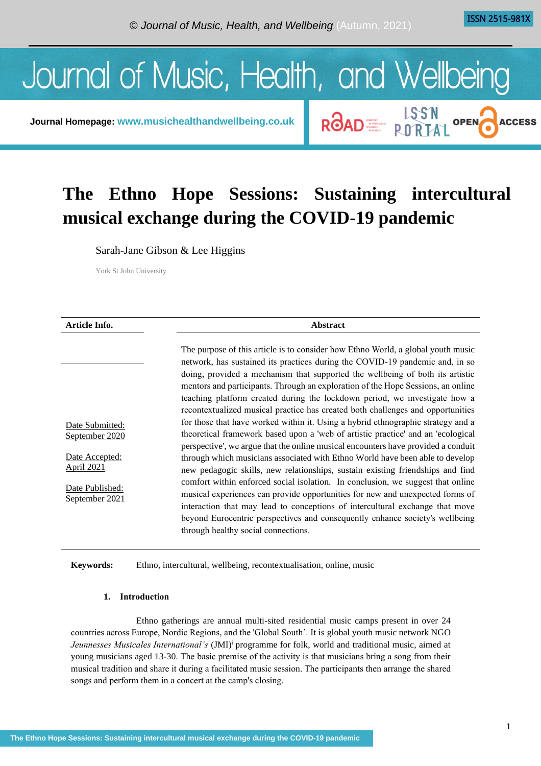**ACCESS** 

ROAD E LSSN OPEN



**Journal Homepage: [www.musichealthandwellbeing.co.uk](http://www.musichealthandwellbeing.co.uk/)**

# **The Ethno Hope Sessions: Sustaining intercultural musical exchange during the COVID-19 pandemic**

Sarah-Jane Gibson & Lee Higgins

York St John University

| Article Info.                                                                                                 | <b>Abstract</b>                                                                                                                                                                                                                                                                                                                                                                                                                                                                                                                                                                                                                                                                                                                                                                                                                                                                                                                                                                                                                                                                                                                                                                                                                                                                                                   |  |
|---------------------------------------------------------------------------------------------------------------|-------------------------------------------------------------------------------------------------------------------------------------------------------------------------------------------------------------------------------------------------------------------------------------------------------------------------------------------------------------------------------------------------------------------------------------------------------------------------------------------------------------------------------------------------------------------------------------------------------------------------------------------------------------------------------------------------------------------------------------------------------------------------------------------------------------------------------------------------------------------------------------------------------------------------------------------------------------------------------------------------------------------------------------------------------------------------------------------------------------------------------------------------------------------------------------------------------------------------------------------------------------------------------------------------------------------|--|
| Date Submitted:<br>September 2020<br>Date Accepted:<br><u>April 2021</u><br>Date Published:<br>September 2021 | The purpose of this article is to consider how Ethno World, a global youth music<br>network, has sustained its practices during the COVID-19 pandemic and, in so<br>doing, provided a mechanism that supported the wellbeing of both its artistic<br>mentors and participants. Through an exploration of the Hope Sessions, an online<br>teaching platform created during the lockdown period, we investigate how a<br>recontextualized musical practice has created both challenges and opportunities<br>for those that have worked within it. Using a hybrid ethnographic strategy and a<br>theoretical framework based upon a 'web of artistic practice' and an 'ecological<br>perspective', we argue that the online musical encounters have provided a conduit<br>through which musicians associated with Ethno World have been able to develop<br>new pedagogic skills, new relationships, sustain existing friendships and find<br>comfort within enforced social isolation. In conclusion, we suggest that online<br>musical experiences can provide opportunities for new and unexpected forms of<br>interaction that may lead to conceptions of intercultural exchange that move<br>beyond Eurocentric perspectives and consequently enhance society's wellbeing<br>through healthy social connections. |  |
|                                                                                                               |                                                                                                                                                                                                                                                                                                                                                                                                                                                                                                                                                                                                                                                                                                                                                                                                                                                                                                                                                                                                                                                                                                                                                                                                                                                                                                                   |  |

# **Keywords:** Ethno, intercultural, wellbeing, recontextualisation, online, music

## **1. Introduction**

Ethno gatherings are annual multi-sited residential music camps present in over 24 countries across Europe, Nordic Regions, and the 'Global South'. It is global youth music network NGO *Jeunnesses Musicales International's* (JMI)<sup>*i*</sup> programme for folk, world and traditional music, aimed at young musicians aged 13-30. The basic premise of the activity is that musicians bring a song from their musical tradition and share it during a facilitated music session. The participants then arrange the shared songs and perform them in a concert at the camp's closing.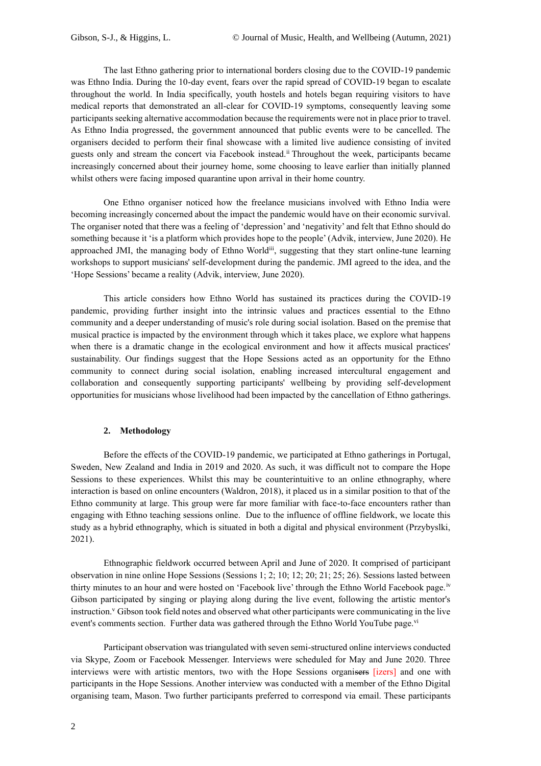The last Ethno gathering prior to international borders closing due to the COVID-19 pandemic was Ethno India. During the 10-day event, fears over the rapid spread of COVID-19 began to escalate throughout the world. In India specifically, youth hostels and hotels began requiring visitors to have medical reports that demonstrated an all-clear for COVID-19 symptoms, consequently leaving some participants seeking alternative accommodation because the requirements were not in place prior to travel. As Ethno India progressed, the government announced that public events were to be cancelled. The organisers decided to perform their final showcase with a limited live audience consisting of invited guests only and stream the concert via Facebook instead.<sup>ii</sup> Throughout the week, participants became increasingly concerned about their journey home, some choosing to leave earlier than initially planned whilst others were facing imposed quarantine upon arrival in their home country.

One Ethno organiser noticed how the freelance musicians involved with Ethno India were becoming increasingly concerned about the impact the pandemic would have on their economic survival. The organiser noted that there was a feeling of 'depression' and 'negativity' and felt that Ethno should do something because it 'is a platform which provides hope to the people' (Advik, interview, June 2020). He approached JMI, the managing body of Ethno Worldiii, suggesting that they start online-tune learning workshops to support musicians' self-development during the pandemic. JMI agreed to the idea, and the 'Hope Sessions' became a reality (Advik, interview, June 2020).

This article considers how Ethno World has sustained its practices during the COVID-19 pandemic, providing further insight into the intrinsic values and practices essential to the Ethno community and a deeper understanding of music's role during social isolation. Based on the premise that musical practice is impacted by the environment through which it takes place, we explore what happens when there is a dramatic change in the ecological environment and how it affects musical practices' sustainability. Our findings suggest that the Hope Sessions acted as an opportunity for the Ethno community to connect during social isolation, enabling increased intercultural engagement and collaboration and consequently supporting participants' wellbeing by providing self-development opportunities for musicians whose livelihood had been impacted by the cancellation of Ethno gatherings.

## **2. Methodology**

Before the effects of the COVID-19 pandemic, we participated at Ethno gatherings in Portugal, Sweden, New Zealand and India in 2019 and 2020. As such, it was difficult not to compare the Hope Sessions to these experiences. Whilst this may be counterintuitive to an online ethnography, where interaction is based on online encounters (Waldron, 2018), it placed us in a similar position to that of the Ethno community at large. This group were far more familiar with face-to-face encounters rather than engaging with Ethno teaching sessions online. Due to the influence of offline fieldwork, we locate this study as a hybrid ethnography, which is situated in both a digital and physical environment (Przybyslki, 2021).

Ethnographic fieldwork occurred between April and June of 2020. It comprised of participant observation in nine online Hope Sessions (Sessions 1; 2; 10; 12; 20; 21; 25; 26). Sessions lasted between thirty minutes to an hour and were hosted on 'Facebook live' through the Ethno World Facebook page.<sup>iv</sup> Gibson participated by singing or playing along during the live event, following the artistic mentor's instruction.<sup>v</sup> Gibson took field notes and observed what other participants were communicating in the live event's comments section. Further data was gathered through the Ethno World YouTube page.<sup>vi</sup>

Participant observation was triangulated with seven semi-structured online interviews conducted via Skype, Zoom or Facebook Messenger. Interviews were scheduled for May and June 2020. Three interviews were with artistic mentors, two with the Hope Sessions organisers [izers] and one with participants in the Hope Sessions. Another interview was conducted with a member of the Ethno Digital organising team, Mason. Two further participants preferred to correspond via email. These participants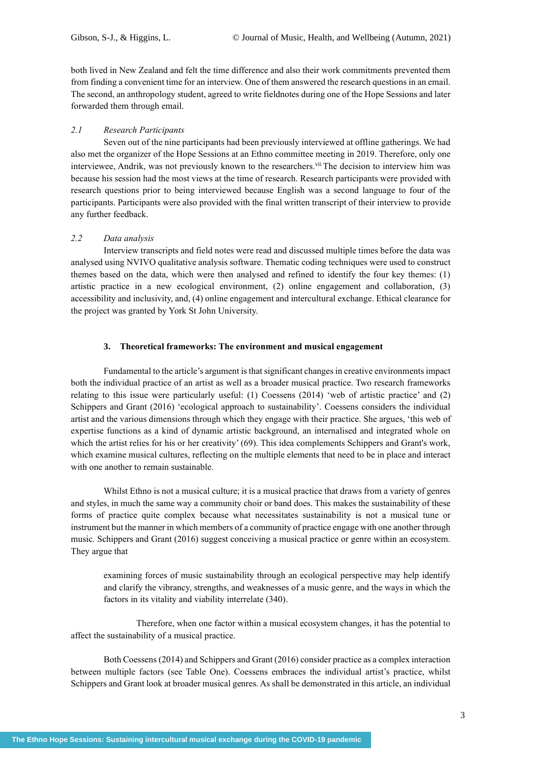both lived in New Zealand and felt the time difference and also their work commitments prevented them from finding a convenient time for an interview. One of them answered the research questions in an email. The second, an anthropology student, agreed to write fieldnotes during one of the Hope Sessions and later forwarded them through email.

## *2.1 Research Participants*

Seven out of the nine participants had been previously interviewed at offline gatherings. We had also met the organizer of the Hope Sessions at an Ethno committee meeting in 2019. Therefore, only one interviewee, Andrik, was not previously known to the researchers. Vii The decision to interview him was because his session had the most views at the time of research. Research participants were provided with research questions prior to being interviewed because English was a second language to four of the participants. Participants were also provided with the final written transcript of their interview to provide any further feedback.

# *2.2 Data analysis*

Interview transcripts and field notes were read and discussed multiple times before the data was analysed using NVIVO qualitative analysis software. Thematic coding techniques were used to construct themes based on the data, which were then analysed and refined to identify the four key themes: (1) artistic practice in a new ecological environment, (2) online engagement and collaboration, (3) accessibility and inclusivity, and, (4) online engagement and intercultural exchange. Ethical clearance for the project was granted by York St John University.

## **3. Theoretical frameworks: The environment and musical engagement**

Fundamental to the article's argument is that significant changes in creative environments impact both the individual practice of an artist as well as a broader musical practice. Two research frameworks relating to this issue were particularly useful: (1) Coessens (2014) 'web of artistic practice' and (2) Schippers and Grant (2016) 'ecological approach to sustainability'. Coessens considers the individual artist and the various dimensions through which they engage with their practice. She argues, 'this web of expertise functions as a kind of dynamic artistic background, an internalised and integrated whole on which the artist relies for his or her creativity' (69). This idea complements Schippers and Grant's work, which examine musical cultures, reflecting on the multiple elements that need to be in place and interact with one another to remain sustainable.

Whilst Ethno is not a musical culture; it is a musical practice that draws from a variety of genres and styles, in much the same way a community choir or band does. This makes the sustainability of these forms of practice quite complex because what necessitates sustainability is not a musical tune or instrument but the manner in which members of a community of practice engage with one another through music. Schippers and Grant (2016) suggest conceiving a musical practice or genre within an ecosystem. They argue that

examining forces of music sustainability through an ecological perspective may help identify and clarify the vibrancy, strengths, and weaknesses of a music genre, and the ways in which the factors in its vitality and viability interrelate (340).

Therefore, when one factor within a musical ecosystem changes, it has the potential to affect the sustainability of a musical practice.

Both Coessens (2014) and Schippers and Grant (2016) consider practice as a complex interaction between multiple factors (see Table One). Coessens embraces the individual artist's practice, whilst Schippers and Grant look at broader musical genres. As shall be demonstrated in this article, an individual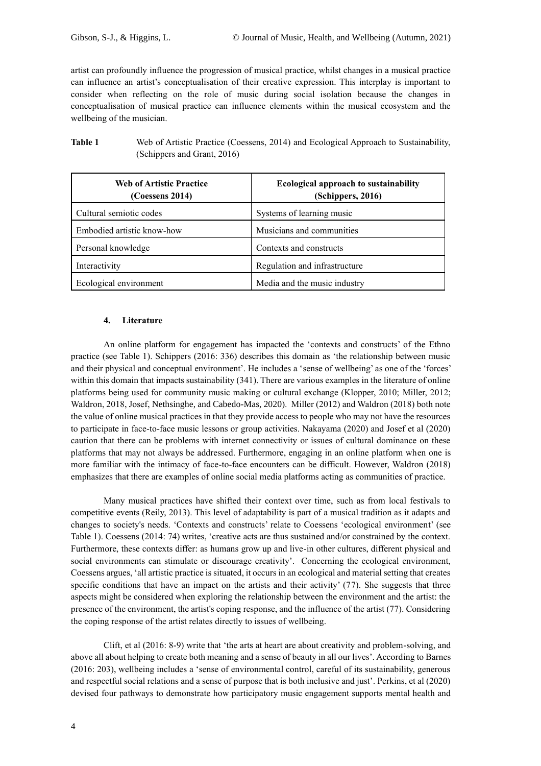artist can profoundly influence the progression of musical practice, whilst changes in a musical practice can influence an artist's conceptualisation of their creative expression. This interplay is important to consider when reflecting on the role of music during social isolation because the changes in conceptualisation of musical practice can influence elements within the musical ecosystem and the wellbeing of the musician.

| <b>Table 1</b> | Web of Artistic Practice (Coessens, 2014) and Ecological Approach to Sustainability, |
|----------------|--------------------------------------------------------------------------------------|
|                | (Schippers and Grant, 2016)                                                          |

| <b>Web of Artistic Practice</b><br>$(C$ oessens 2014) | <b>Ecological approach to sustainability</b><br>(Schippers, 2016) |
|-------------------------------------------------------|-------------------------------------------------------------------|
| Cultural semiotic codes                               | Systems of learning music                                         |
| Embodied artistic know-how                            | Musicians and communities                                         |
| Personal knowledge                                    | Contexts and constructs                                           |
| Interactivity                                         | Regulation and infrastructure                                     |
| Ecological environment                                | Media and the music industry                                      |

## **4. Literature**

An online platform for engagement has impacted the 'contexts and constructs' of the Ethno practice (see Table 1). Schippers (2016: 336) describes this domain as 'the relationship between music and their physical and conceptual environment'. He includes a 'sense of wellbeing' as one of the 'forces' within this domain that impacts sustainability (341). There are various examples in the literature of online platforms being used for community music making or cultural exchange (Klopper, 2010; Miller, 2012; Waldron, 2018, Josef, Nethsinghe, and Cabedo-Mas, 2020). Miller (2012) and Waldron (2018) both note the value of online musical practices in that they provide access to people who may not have the resources to participate in face-to-face music lessons or group activities. Nakayama (2020) and Josef et al (2020) caution that there can be problems with internet connectivity or issues of cultural dominance on these platforms that may not always be addressed. Furthermore, engaging in an online platform when one is more familiar with the intimacy of face-to-face encounters can be difficult. However, Waldron (2018) emphasizes that there are examples of online social media platforms acting as communities of practice.

Many musical practices have shifted their context over time, such as from local festivals to competitive events (Reily, 2013). This level of adaptability is part of a musical tradition as it adapts and changes to society's needs. 'Contexts and constructs' relate to Coessens 'ecological environment' (see Table 1). Coessens (2014: 74) writes, 'creative acts are thus sustained and/or constrained by the context. Furthermore, these contexts differ: as humans grow up and live-in other cultures, different physical and social environments can stimulate or discourage creativity'. Concerning the ecological environment, Coessens argues, 'all artistic practice is situated, it occurs in an ecological and material setting that creates specific conditions that have an impact on the artists and their activity' (77). She suggests that three aspects might be considered when exploring the relationship between the environment and the artist: the presence of the environment, the artist's coping response, and the influence of the artist (77). Considering the coping response of the artist relates directly to issues of wellbeing.

Clift, et al (2016: 8-9) write that 'the arts at heart are about creativity and problem-solving, and above all about helping to create both meaning and a sense of beauty in all our lives'. According to Barnes (2016: 203), wellbeing includes a 'sense of environmental control, careful of its sustainability, generous and respectful social relations and a sense of purpose that is both inclusive and just'. Perkins, et al (2020) devised four pathways to demonstrate how participatory music engagement supports mental health and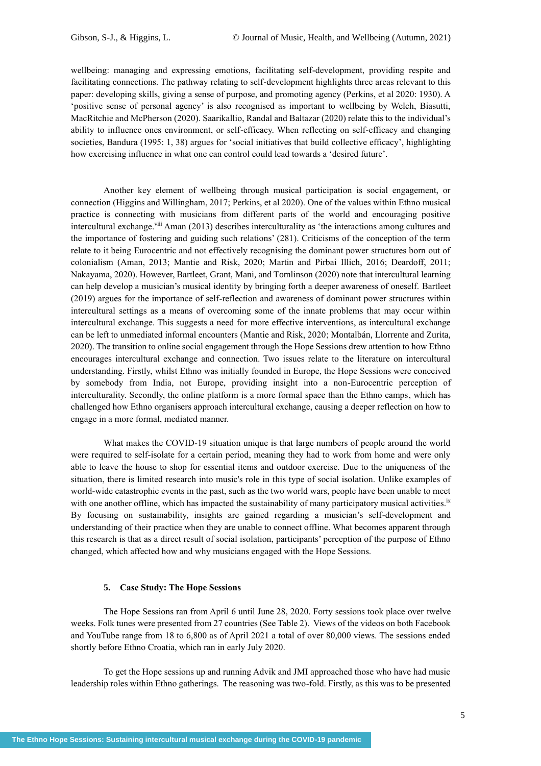wellbeing: managing and expressing emotions, facilitating self-development, providing respite and facilitating connections. The pathway relating to self-development highlights three areas relevant to this paper: developing skills, giving a sense of purpose, and promoting agency (Perkins, et al 2020: 1930). A 'positive sense of personal agency' is also recognised as important to wellbeing by Welch, Biasutti, MacRitchie and McPherson (2020). Saarikallio, Randal and Baltazar (2020) relate this to the individual's ability to influence ones environment, or self-efficacy. When reflecting on self-efficacy and changing societies, Bandura (1995: 1, 38) argues for 'social initiatives that build collective efficacy', highlighting how exercising influence in what one can control could lead towards a 'desired future'.

Another key element of wellbeing through musical participation is social engagement, or connection (Higgins and Willingham, 2017; Perkins, et al 2020). One of the values within Ethno musical practice is connecting with musicians from different parts of the world and encouraging positive intercultural exchange.<sup>viii</sup> Aman (2013) describes interculturality as 'the interactions among cultures and the importance of fostering and guiding such relations' (281). Criticisms of the conception of the term relate to it being Eurocentric and not effectively recognising the dominant power structures born out of colonialism (Aman, 2013; Mantie and Risk, 2020; Martin and Pirbai Illich, 2016; Deardoff, 2011; Nakayama, 2020). However, Bartleet, Grant, Mani, and Tomlinson (2020) note that intercultural learning can help develop a musician's musical identity by bringing forth a deeper awareness of oneself. Bartleet (2019) argues for the importance of self-reflection and awareness of dominant power structures within intercultural settings as a means of overcoming some of the innate problems that may occur within intercultural exchange. This suggests a need for more effective interventions, as intercultural exchange can be left to unmediated informal encounters (Mantie and Risk, 2020; Montalbán, Llorrente and Zurita, 2020). The transition to online social engagement through the Hope Sessions drew attention to how Ethno encourages intercultural exchange and connection. Two issues relate to the literature on intercultural understanding. Firstly, whilst Ethno was initially founded in Europe, the Hope Sessions were conceived by somebody from India, not Europe, providing insight into a non-Eurocentric perception of interculturality. Secondly, the online platform is a more formal space than the Ethno camps, which has challenged how Ethno organisers approach intercultural exchange, causing a deeper reflection on how to engage in a more formal, mediated manner.

What makes the COVID-19 situation unique is that large numbers of people around the world were required to self-isolate for a certain period, meaning they had to work from home and were only able to leave the house to shop for essential items and outdoor exercise. Due to the uniqueness of the situation, there is limited research into music's role in this type of social isolation. Unlike examples of world-wide catastrophic events in the past, such as the two world wars, people have been unable to meet with one another offline, which has impacted the sustainability of many participatory musical activities.<sup>ix</sup> By focusing on sustainability, insights are gained regarding a musician's self-development and understanding of their practice when they are unable to connect offline. What becomes apparent through this research is that as a direct result of social isolation, participants' perception of the purpose of Ethno changed, which affected how and why musicians engaged with the Hope Sessions.

## **5. Case Study: The Hope Sessions**

The Hope Sessions ran from April 6 until June 28, 2020. Forty sessions took place over twelve weeks. Folk tunes were presented from 27 countries (See Table 2). Views of the videos on both Facebook and YouTube range from 18 to 6,800 as of April 2021 a total of over 80,000 views. The sessions ended shortly before Ethno Croatia, which ran in early July 2020.

To get the Hope sessions up and running Advik and JMI approached those who have had music leadership roles within Ethno gatherings. The reasoning was two-fold. Firstly, as this was to be presented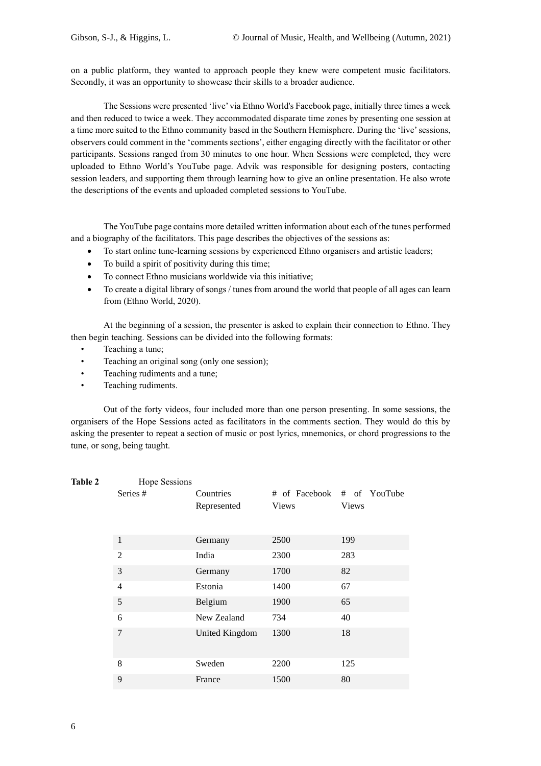on a public platform, they wanted to approach people they knew were competent music facilitators. Secondly, it was an opportunity to showcase their skills to a broader audience.

The Sessions were presented 'live' via Ethno World's Facebook page, initially three times a week and then reduced to twice a week. They accommodated disparate time zones by presenting one session at a time more suited to the Ethno community based in the Southern Hemisphere. During the 'live' sessions, observers could comment in the 'comments sections', either engaging directly with the facilitator or other participants. Sessions ranged from 30 minutes to one hour. When Sessions were completed, they were uploaded to Ethno World's YouTube page. Advik was responsible for designing posters, contacting session leaders, and supporting them through learning how to give an online presentation. He also wrote the descriptions of the events and uploaded completed sessions to YouTube.

The YouTube page contains more detailed written information about each of the tunes performed and a biography of the facilitators. This page describes the objectives of the sessions as:

- To start online tune-learning sessions by experienced Ethno organisers and artistic leaders;
- To build a spirit of positivity during this time;
- To connect Ethno musicians worldwide via this initiative;
- To create a digital library of songs / tunes from around the world that people of all ages can learn from (Ethno World, 2020).

At the beginning of a session, the presenter is asked to explain their connection to Ethno. They then begin teaching. Sessions can be divided into the following formats:

- Teaching a tune;
- Teaching an original song (only one session);
- Teaching rudiments and a tune;
- Teaching rudiments.

Out of the forty videos, four included more than one person presenting. In some sessions, the organisers of the Hope Sessions acted as facilitators in the comments section. They would do this by asking the presenter to repeat a section of music or post lyrics, mnemonics, or chord progressions to the tune, or song, being taught.

| Table 2 | Hope Sessions  |                |              |                            |
|---------|----------------|----------------|--------------|----------------------------|
|         | Series #       | Countries      |              | # of Facebook # of YouTube |
|         |                | Represented    | <b>Views</b> | <b>Views</b>               |
|         | $\mathbf{1}$   | Germany        | 2500         | 199                        |
|         | $\overline{2}$ | India          | 2300         | 283                        |
|         | 3              | Germany        | 1700         | 82                         |
|         | 4              | Estonia        | 1400         | 67                         |
|         | 5              | Belgium        | 1900         | 65                         |
|         | 6              | New Zealand    | 734          | 40                         |
|         | 7              | United Kingdom | 1300         | 18                         |
|         | 8              | Sweden         | 2200         | 125                        |
|         | 9              | France         | 1500         | 80                         |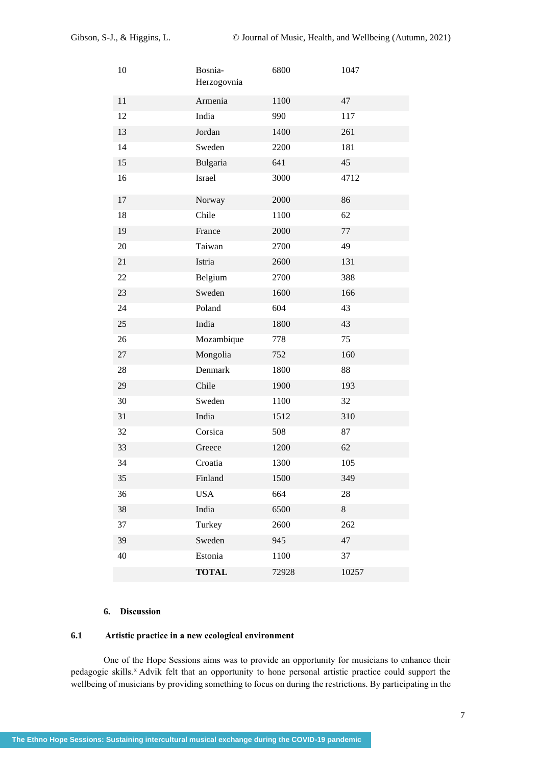| 10 | Bosnia-<br>Herzogovnia | 6800      | 1047  |
|----|------------------------|-----------|-------|
| 11 | Armenia                | 1100      | 47    |
| 12 | India                  | 990       | 117   |
| 13 | Jordan                 | 1400      | 261   |
| 14 | Sweden                 | 2200      | 181   |
| 15 | Bulgaria               | 641       | 45    |
| 16 | Israel                 | 3000      | 4712  |
| 17 | Norway                 | 2000      | 86    |
| 18 | Chile                  | 1100      | 62    |
| 19 | France                 | 2000      | 77    |
| 20 | Taiwan                 | 2700      | 49    |
| 21 | Istria                 | 2600      | 131   |
| 22 | Belgium                | 2700      | 388   |
| 23 | Sweden                 | 1600      | 166   |
| 24 | Poland                 | 604       | 43    |
| 25 | India                  | 1800      | 43    |
| 26 | Mozambique             | 778       | 75    |
| 27 | Mongolia               | 752       | 160   |
| 28 | Denmark                | 1800      | 88    |
| 29 | Chile                  | 1900      | 193   |
| 30 | Sweden                 | 1100      | 32    |
| 31 | India                  | 1512      | 310   |
| 32 | Corsica                | 508       | 87    |
| 33 | Greece                 | 1200      | 62    |
| 34 | Croatia                | 1300      | 105   |
| 35 | Finland                | 1500      | 349   |
| 36 | <b>USA</b>             | 664<br>28 |       |
| 38 | India                  | 6500      | $8\,$ |
| 37 | Turkey                 | 2600      | 262   |
| 39 | Sweden                 | 945       | 47    |
| 40 | Estonia                | 1100      | 37    |
|    | <b>TOTAL</b>           | 72928     | 10257 |

# **6. Discussion**

# **6.1 Artistic practice in a new ecological environment**

One of the Hope Sessions aims was to provide an opportunity for musicians to enhance their pedagogic skills.<sup>x</sup> Advik felt that an opportunity to hone personal artistic practice could support the wellbeing of musicians by providing something to focus on during the restrictions. By participating in the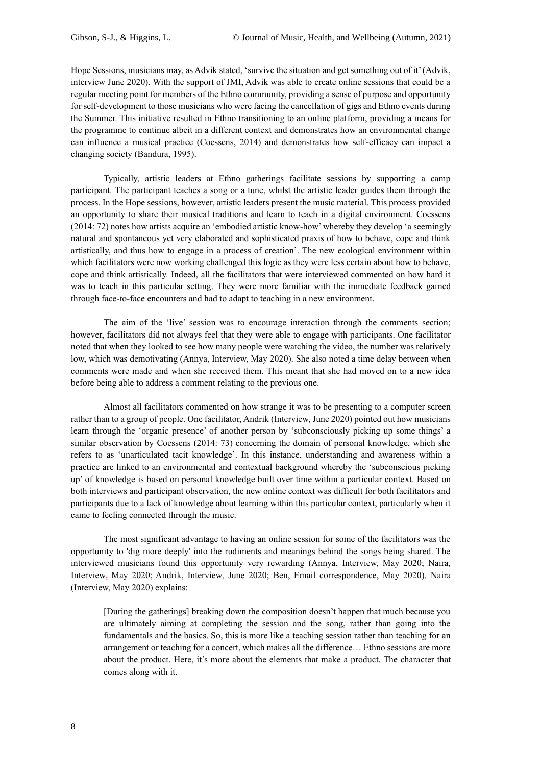Hope Sessions, musicians may, as Advik stated, 'survive the situation and get something out of it' (Advik, interview June 2020). With the support of JMI, Advik was able to create online sessions that could be a regular meeting point for members of the Ethno community, providing a sense of purpose and opportunity for self-development to those musicians who were facing the cancellation of gigs and Ethno events during the Summer. This initiative resulted in Ethno transitioning to an online platform, providing a means for the programme to continue albeit in a different context and demonstrates how an environmental change can influence a musical practice (Coessens, 2014) and demonstrates how self-efficacy can impact a changing society (Bandura, 1995).

Typically, artistic leaders at Ethno gatherings facilitate sessions by supporting a camp participant. The participant teaches a song or a tune, whilst the artistic leader guides them through the process. In the Hope sessions, however, artistic leaders present the music material. This process provided an opportunity to share their musical traditions and learn to teach in a digital environment. Coessens (2014: 72) notes how artists acquire an 'embodied artistic know-how' whereby they develop 'a seemingly natural and spontaneous yet very elaborated and sophisticated praxis of how to behave, cope and think artistically, and thus how to engage in a process of creation'. The new ecological environment within which facilitators were now working challenged this logic as they were less certain about how to behave, cope and think artistically. Indeed, all the facilitators that were interviewed commented on how hard it was to teach in this particular setting. They were more familiar with the immediate feedback gained through face-to-face encounters and had to adapt to teaching in a new environment.

The aim of the 'live' session was to encourage interaction through the comments section; however, facilitators did not always feel that they were able to engage with participants. One facilitator noted that when they looked to see how many people were watching the video, the number was relatively low, which was demotivating (Annya, Interview, May 2020). She also noted a time delay between when comments were made and when she received them. This meant that she had moved on to a new idea before being able to address a comment relating to the previous one.

Almost all facilitators commented on how strange it was to be presenting to a computer screen rather than to a group of people. One facilitator, Andrik (Interview, June 2020) pointed out how musicians learn through the 'organic presence' of another person by 'subconsciously picking up some things' a similar observation by [Coessens \(2014: 73\) concerning the domain of personal knowledge, which she](scrivcmt://D7752C29-8A8C-497F-B7DF-8C1913D286C9/)  [refers to as 'unarticulated tacit knowledge'. In this instance, understanding and awareness within a](scrivcmt://D7752C29-8A8C-497F-B7DF-8C1913D286C9/)  [practice are linked to an environmental and contextual background whereby the 'subconscious picking](scrivcmt://D7752C29-8A8C-497F-B7DF-8C1913D286C9/)  [up' of knowledge is based on personal knowledge built over time within a particular context.](scrivcmt://D7752C29-8A8C-497F-B7DF-8C1913D286C9/) Based on both interviews and participant observation, the new online context was difficult for both facilitators and participants due to a lack of knowledge about learning within this particular context, particularly when it came to feeling connected through the music.

The most significant advantage to having an online session for some of the facilitators was the opportunity to 'dig more deeply' into the rudiments and meanings behind the songs being shared. The interviewed musicians found this opportunity very rewarding (Annya, Interview, May 2020; Naira, Interview, May 2020; Andrik, Interview, June 2020; Ben, Email correspondence, May 2020). Naira (Interview, May 2020) explains:

[During the gatherings] breaking down the composition doesn't happen that much because you are ultimately aiming at completing the session and the song, rather than going into the fundamentals and the basics. So, this is more like a teaching session rather than teaching for an arrangement or teaching for a concert, which makes all the difference… Ethno sessions are more about the product. Here, it's more about the elements that make a product. The character that comes along with it.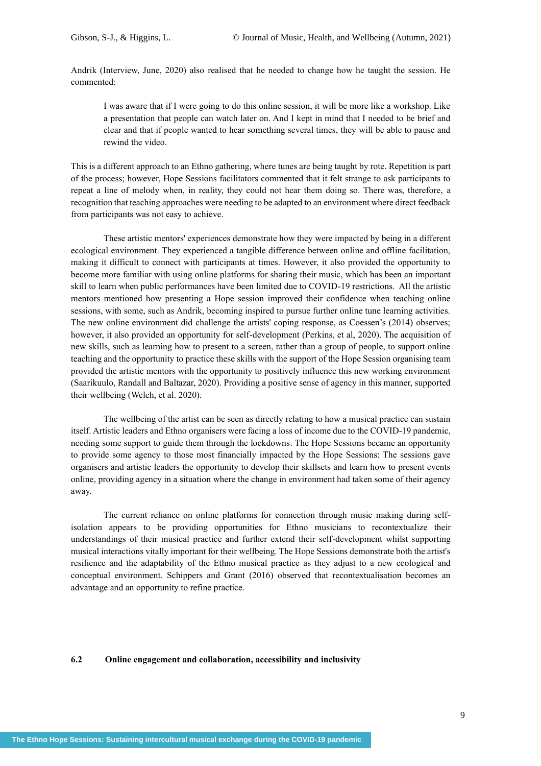Andrik (Interview, June, 2020) also realised that he needed to change how he taught the session. He commented:

I was aware that if I were going to do this online session, it will be more like a workshop. Like a presentation that people can watch later on. And I kept in mind that I needed to be brief and clear and that if people wanted to hear something several times, they will be able to pause and rewind the video.

This is a different approach to an Ethno gathering, where tunes are being taught by rote. Repetition is part of the process; however, Hope Sessions facilitators commented that it felt strange to ask participants to repeat a line of melody when, in reality, they could not hear them doing so. There was, therefore, a recognition that teaching approaches were needing to be adapted to an environment where direct feedback from participants was not easy to achieve.

These artistic mentors' experiences demonstrate how they were impacted by being in a different ecological environment. They experienced a tangible difference between online and offline facilitation, making it difficult to connect with participants at times. However, it also provided the opportunity to become more familiar with using online platforms for sharing their music, which has been an important skill to learn when public performances have been limited due to COVID-19 restrictions. All the artistic mentors mentioned how presenting a Hope session improved their confidence when teaching online sessions, with some, such as Andrik, becoming inspired to pursue further online tune learning activities. The new online environment did challenge the artists' coping response, as Coessen's (2014) observes; however, it also provided an opportunity for self-development (Perkins, et al, 2020). The acquisition of new skills, such as learning how to present to a screen, rather than a group of people, to support online teaching and the opportunity to practice these skills with the support of the Hope Session organising team provided the artistic mentors with the opportunity to positively influence this new working environment (Saarikuulo, Randall and Baltazar, 2020). Providing a positive sense of agency in this manner, supported their wellbeing (Welch, et al. 2020).

The wellbeing of the artist can be seen as directly relating to how a musical practice can sustain itself. Artistic leaders and Ethno organisers were facing a loss of income due to the COVID-19 pandemic, needing some support to guide them through the lockdowns. The Hope Sessions became an opportunity to provide some agency to those most financially impacted by the Hope Sessions: The sessions gave organisers and artistic leaders the opportunity to develop their skillsets and learn how to present events online, providing agency in a situation where the change in environment had taken some of their agency away.

The current reliance on online platforms for connection through music making during selfisolation appears to be providing opportunities for Ethno musicians to recontextualize their understandings of their musical practice and further extend their self-development whilst supporting musical interactions vitally important for their wellbeing. The Hope Sessions demonstrate both the artist's resilience and the adaptability of the Ethno musical practice as they adjust to a new ecological and conceptual environment. Schippers and Grant (2016) observed that recontextualisation becomes an advantage and an opportunity to refine practice.

#### **6.2 Online engagement and collaboration, accessibility and inclusivity**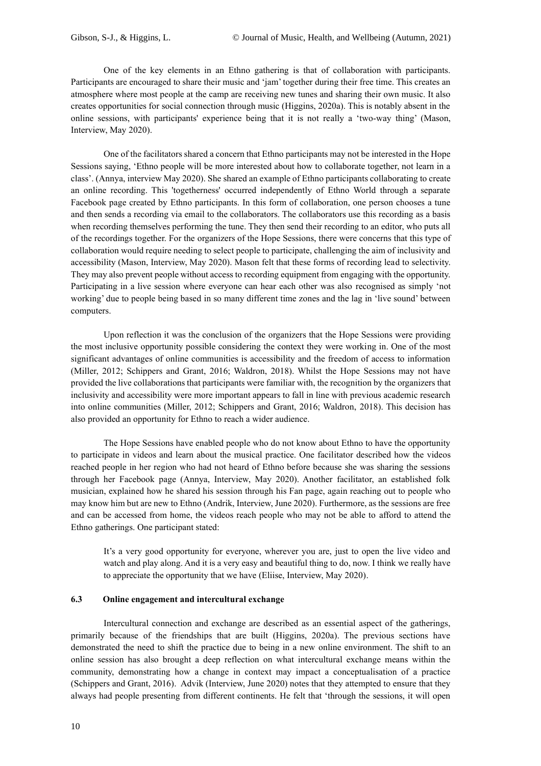One of the key elements in an Ethno gathering is that of collaboration with participants. Participants are encouraged to share their music and 'jam' together during their free time. This creates an atmosphere where most people at the camp are receiving new tunes and sharing their own music. It also creates opportunities for social connection through music (Higgins, 2020a). This is notably absent in the online sessions, with participants' experience being that it is not really a 'two-way thing' (Mason, Interview, May 2020).

One of the facilitators shared a concern that Ethno participants may not be interested in the Hope Sessions saying, 'Ethno people will be more interested about how to collaborate together, not learn in a class'. (Annya, interview May 2020). She shared an example of Ethno participants collaborating to create an online recording. This 'togetherness' occurred independently of Ethno World through a separate Facebook page created by Ethno participants. In this form of collaboration, one person chooses a tune and then sends a recording via email to the collaborators. The collaborators use this recording as a basis when recording themselves performing the tune. They then send their recording to an editor, who puts all of the recordings together. For the organizers of the Hope Sessions, there were concerns that this type of collaboration would require needing to select people to participate, challenging the aim of inclusivity and accessibility (Mason, Interview, May 2020). Mason felt that these forms of recording lead to selectivity. They may also prevent people without access to recording equipment from engaging with the opportunity. Participating in a live session where everyone can hear each other was also recognised as simply 'not working' due to people being based in so many different time zones and the lag in 'live sound' between computers.

Upon reflection it was the conclusion of the organizers that the Hope Sessions were providing the most inclusive opportunity possible considering the context they were working in. One of the most significant advantages of online communities is accessibility and the freedom of access to information (Miller, 2012; Schippers and Grant, 2016; Waldron, 2018). Whilst the Hope Sessions may not have provided the live collaborations that participants were familiar with, the recognition by the organizers that inclusivity and accessibility were more important appears to fall in line with previous academic research into online communities (Miller, 2012; Schippers and Grant, 2016; Waldron, 2018). This decision has also provided an opportunity for Ethno to reach a wider audience.

The Hope Sessions have enabled people who do not know about Ethno to have the opportunity to participate in videos and learn about the musical practice. One facilitator described how the videos reached people in her region who had not heard of Ethno before because she was sharing the sessions through her Facebook page (Annya, Interview, May 2020). Another facilitator, an established folk musician, explained how he shared his session through his Fan page, again reaching out to people who may know him but are new to Ethno (Andrik, Interview, June 2020). Furthermore, as the sessions are free and can be accessed from home, the videos reach people who may not be able to afford to attend the Ethno gatherings. One participant stated:

It's a very good opportunity for everyone, wherever you are, just to open the live video and watch and play along. And it is a very easy and beautiful thing to do, now. I think we really have to appreciate the opportunity that we have (Eliise, Interview, May 2020).

## **6.3 Online engagement and intercultural exchange**

Intercultural connection and exchange are described as an essential aspect of the gatherings, primarily because of the friendships that are built (Higgins, 2020a). The previous sections have demonstrated the need to shift the practice due to being in a new online environment. The shift to an online session has also brought a deep reflection on what intercultural exchange means within the community, demonstrating how a change in context may impact a conceptualisation of a practice (Schippers and Grant, 2016). Advik (Interview, June 2020) notes that they attempted to ensure that they always had people presenting from different continents. He felt that 'through the sessions, it will open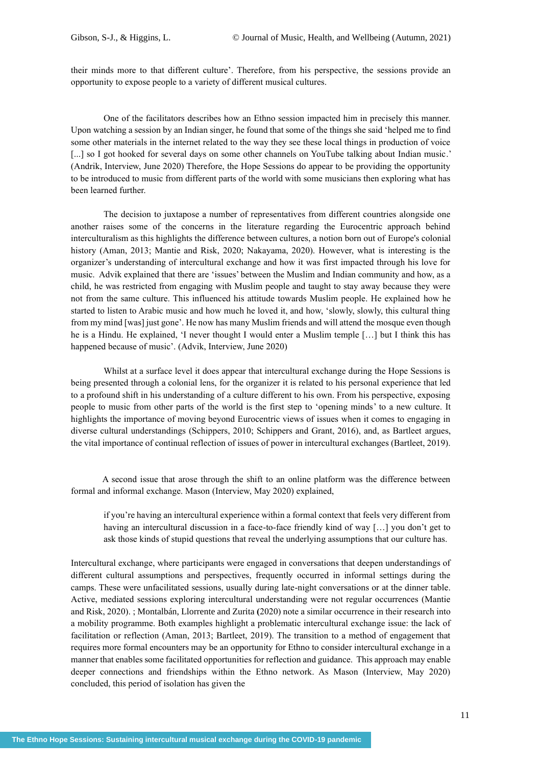their minds more to that different culture'. Therefore, from his perspective, the sessions provide an opportunity to expose people to a variety of different musical cultures.

One of the facilitators describes how an Ethno session impacted him in precisely this manner. Upon watching a session by an Indian singer, he found that some of the things she said 'helped me to find some other materials in the internet related to the way they see these local things in production of voice [...] so I got hooked for several days on some other channels on YouTube talking about Indian music.' (Andrik, Interview, June 2020) Therefore, the Hope Sessions do appear to be providing the opportunity to be introduced to music from different parts of the world with some musicians then exploring what has been learned further.

The decision to juxtapose a number of representatives from different countries alongside one another raises some of the concerns in the literature regarding the Eurocentric approach behind interculturalism as this highlights the difference between cultures, a notion born out of Europe's colonial history (Aman, 2013; Mantie and Risk, 2020; Nakayama, 2020). However, what is interesting is the organizer's understanding of intercultural exchange and how it was first impacted through his love for music. Advik explained that there are 'issues' between the Muslim and Indian community and how, as a child, he was restricted from engaging with Muslim people and taught to stay away because they were not from the same culture. This influenced his attitude towards Muslim people. He explained how he started to listen to Arabic music and how much he loved it, and how, 'slowly, slowly, this cultural thing from my mind [was] just gone'. He now has many Muslim friends and will attend the mosque even though he is a Hindu. He explained, 'I never thought I would enter a Muslim temple […] but I think this has happened because of music'. (Advik, Interview, June 2020)

Whilst at a surface level it does appear that intercultural exchange during the Hope Sessions is being presented through a colonial lens, for the organizer it is related to his personal experience that led to a profound shift in his understanding of a culture different to his own. From his perspective, exposing people to music from other parts of the world is the first step to 'opening minds' to a new culture. It highlights the importance of moving beyond Eurocentric views of issues when it comes to engaging in diverse cultural understandings (Schippers, 2010; Schippers and Grant, 2016), and, as Bartleet argues, the vital importance of continual reflection of issues of power in intercultural exchanges (Bartleet, 2019).

 A second issue that arose through the shift to an online platform was the difference between formal and informal exchange. Mason (Interview, May 2020) explained,

if you're having an intercultural experience within a formal context that feels very different from having an intercultural discussion in a face-to-face friendly kind of way [...] you don't get to ask those kinds of stupid questions that reveal the underlying assumptions that our culture has.

Intercultural exchange, where participants were engaged in conversations that deepen understandings of different cultural assumptions and perspectives, frequently occurred in informal settings during the camps. These were unfacilitated sessions, usually during late-night conversations or at the dinner table. Active, mediated sessions exploring intercultural understanding were not regular occurrences (Mantie and Risk, 2020). ; Montalbán, Llorrente and Zurita **(**2020) note a similar occurrence in their research into a mobility programme. Both examples highlight a problematic intercultural exchange issue: the lack of facilitation or reflection (Aman, 2013; Bartleet, 2019). The transition to a method of engagement that requires more formal encounters may be an opportunity for Ethno to consider intercultural exchange in a manner that enables some facilitated opportunities for reflection and guidance. This approach may enable deeper connections and friendships within the Ethno network. As Mason (Interview, May 2020) concluded, this period of isolation has given the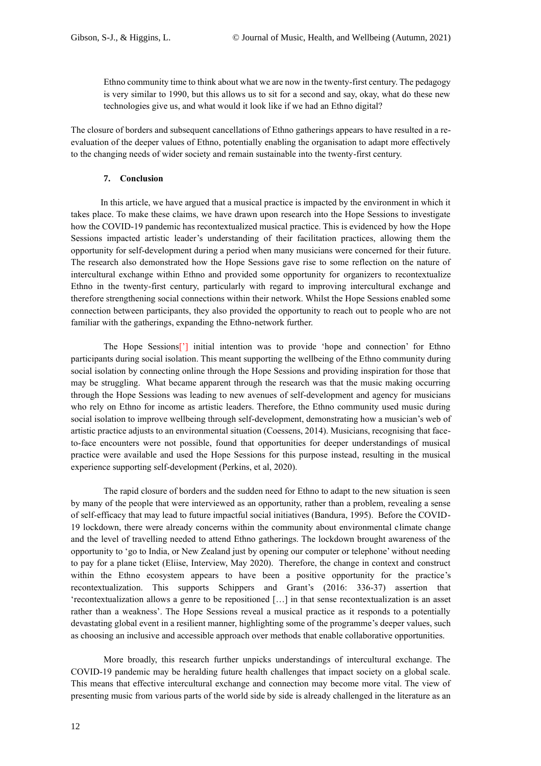Ethno community time to think about what we are now in the twenty-first century. The pedagogy is very similar to 1990, but this allows us to sit for a second and say, okay, what do these new technologies give us, and what would it look like if we had an Ethno digital?

The closure of borders and subsequent cancellations of Ethno gatherings appears to have resulted in a reevaluation of the deeper values of Ethno, potentially enabling the organisation to adapt more effectively to the changing needs of wider society and remain sustainable into the twenty-first century.

## **7. Conclusion**

 In this article, we have argued that a musical practice is impacted by the environment in which it takes place. To make these claims, we have drawn upon research into the Hope Sessions to investigate how the COVID-19 pandemic has recontextualized musical practice. This is evidenced by how the Hope Sessions impacted artistic leader's understanding of their facilitation practices, allowing them the opportunity for self-development during a period when many musicians were concerned for their future. The research also demonstrated how the Hope Sessions gave rise to some reflection on the nature of intercultural exchange within Ethno and provided some opportunity for organizers to recontextualize Ethno in the twenty-first century, particularly with regard to improving intercultural exchange and therefore strengthening social connections within their network. Whilst the Hope Sessions enabled some connection between participants, they also provided the opportunity to reach out to people who are not familiar with the gatherings, expanding the Ethno-network further.

The Hope Sessions['] initial intention was to provide 'hope and connection' for Ethno participants during social isolation. This meant supporting the wellbeing of the Ethno community during social isolation by connecting online through the Hope Sessions and providing inspiration for those that may be struggling. What became apparent through the research was that the music making occurring through the Hope Sessions was leading to new avenues of self-development and agency for musicians who rely on Ethno for income as artistic leaders. Therefore, the Ethno community used music during social isolation to improve wellbeing through self-development, demonstrating how a musician's web of artistic practice adjusts to an environmental situation (Coessens, 2014). Musicians, recognising that faceto-face encounters were not possible, found that opportunities for deeper understandings of musical practice were available and used the Hope Sessions for this purpose instead, resulting in the musical experience supporting self-development (Perkins, et al, 2020).

The rapid closure of borders and the sudden need for Ethno to adapt to the new situation is seen by many of the people that were interviewed as an opportunity, rather than a problem, revealing a sense of self-efficacy that may lead to future impactful social initiatives (Bandura, 1995). Before the COVID-19 lockdown, there were already concerns within the community about environmental climate change and the level of travelling needed to attend Ethno gatherings. The lockdown brought awareness of the opportunity to 'go to India, or New Zealand just by opening our computer or telephone' without needing to pay for a plane ticket (Eliise, Interview, May 2020). Therefore, the change in context and construct within the Ethno ecosystem appears to have been a positive opportunity for the practice's recontextualization. This supports Schippers and Grant's (2016: 336-37) assertion that 'recontextualization allows a genre to be repositioned […] in that sense recontextualization is an asset rather than a weakness'. The Hope Sessions reveal a musical practice as it responds to a potentially devastating global event in a resilient manner, highlighting some of the programme's deeper values, such as choosing an inclusive and accessible approach over methods that enable collaborative opportunities.

More broadly, this research further unpicks understandings of intercultural exchange. The COVID-19 pandemic may be heralding future health challenges that impact society on a global scale. This means that effective intercultural exchange and connection may become more vital. The view of presenting music from various parts of the world side by side is already challenged in the literature as an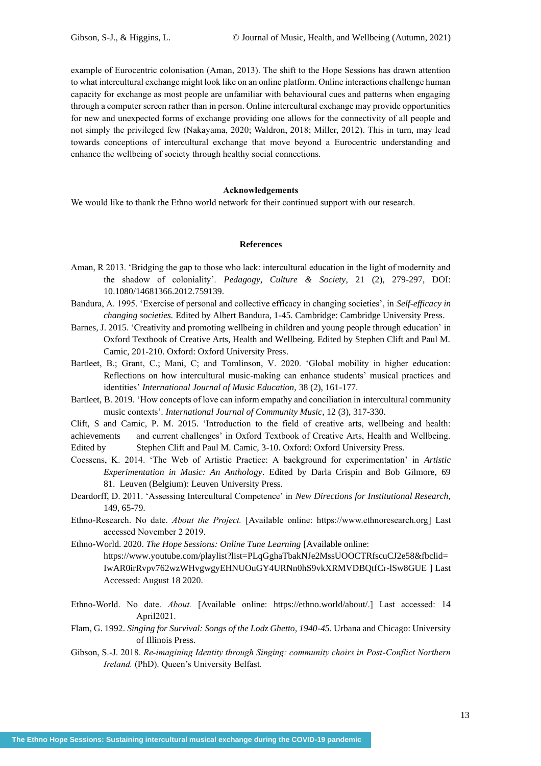example of Eurocentric colonisation (Aman, 2013). The shift to the Hope Sessions has drawn attention to what intercultural exchange might look like on an online platform. Online interactions challenge human capacity for exchange as most people are unfamiliar with behavioural cues and patterns when engaging through a computer screen rather than in person. Online intercultural exchange may provide opportunities for new and unexpected forms of exchange providing one allows for the connectivity of all people and not simply the privileged few (Nakayama, 2020; Waldron, 2018; Miller, 2012). This in turn, may lead towards conceptions of intercultural exchange that move beyond a Eurocentric understanding and enhance the wellbeing of society through healthy social connections.

#### **Acknowledgements**

We would like to thank the Ethno world network for their continued support with our research.

#### **References**

- Aman, R 2013. 'Bridging the gap to those who lack: intercultural education in the light of modernity and the shadow of coloniality'. *Pedagogy, Culture & Society*, 21 (2), 279-297, DOI: 10.1080/14681366.2012.759139.
- Bandura, A. 1995. 'Exercise of personal and collective efficacy in changing societies', in *Self-efficacy in changing societies.* Edited by Albert Bandura, 1-45. Cambridge: Cambridge University Press.
- Barnes, J. 2015. 'Creativity and promoting wellbeing in children and young people through education' in Oxford Textbook of Creative Arts, Health and Wellbeing. Edited by Stephen Clift and Paul M. Camic, 201-210. Oxford: Oxford University Press.
- Bartleet, B.; Grant, C.; Mani, C; and Tomlinson, V. 2020. 'Global mobility in higher education: Reflections on how intercultural music-making can enhance students' musical practices and identities' *International Journal of Music Education,* 38 (2), 161-177.
- Bartleet, B. 2019. 'How concepts of love can inform empathy and conciliation in intercultural community music contexts'. *International Journal of Community Music*, 12 (3), 317-330.

Clift, S and Camic, P. M. 2015. 'Introduction to the field of creative arts, wellbeing and health: achievements and current challenges' in Oxford Textbook of Creative Arts, Health and Wellbeing. Edited by Stephen Clift and Paul M. Camic, 3-10. Oxford: Oxford University Press.

- Coessens, K. 2014. 'The Web of Artistic Practice: A background for experimentation' in *Artistic Experimentation in Music: An Anthology*. Edited by Darla Crispin and Bob Gilmore, 69 81. Leuven (Belgium): Leuven University Press.
- Deardorff, D. 2011. 'Assessing Intercultural Competence' in *New Directions for Institutional Research,* 149, 65-79.
- Ethno-Research. No date. *About the Project.* [Available online: [https://www.ethnoresearch.org\]](https://www.ethnoresearch.org/) Last accessed November 2 2019.

Ethno-World. 2020. *The Hope Sessions: Online Tune Learning* [Available online:

[https://www.youtube.com/playlist?list=PLqGghaTbakNJe2MssUOOCTRfscuCJ2e58&fbclid=](https://www.youtube.com/playlist?list=PLqGghaTbakNJe2MssUOOCTRfscuCJ2e58&fbclid=IwAR0irRvpv762wzWHvgwgyEHNUOuGY4URNn0hS9vkXRMVDBQtfCr-lSw8GUE) [IwAR0irRvpv762wzWHvgwgyEHNUOuGY4URNn0hS9vkXRMVDBQtfCr-lSw8GUE](https://www.youtube.com/playlist?list=PLqGghaTbakNJe2MssUOOCTRfscuCJ2e58&fbclid=IwAR0irRvpv762wzWHvgwgyEHNUOuGY4URNn0hS9vkXRMVDBQtfCr-lSw8GUE) ] Last Accessed: August 18 2020.

- Ethno-World. No date. *About.* [Available online: [https://ethno.](https://ethno/)world/about/.] Last accessed: 14 April2021.
- Flam, G. 1992. *Singing for Survival: Songs of the Lodz Ghetto, 1940-45*. Urbana and Chicago: University of Illinois Press.
- Gibson, S.-J. 2018. *Re-imagining Identity through Singing: community choirs in Post-Conflict Northern Ireland.* (PhD). Queen's University Belfast.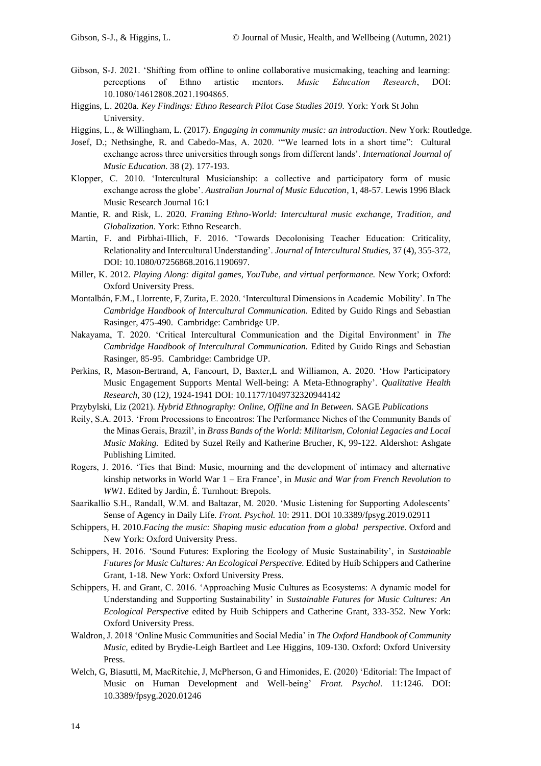- Gibson, S-J. 2021. 'Shifting from offline to online collaborative musicmaking, teaching and learning: perceptions of Ethno artistic mentors. *Music Education Research*, DOI: 10.1080/14612808.2021.1904865.
- Higgins, L. 2020a. *Key Findings: Ethno Research Pilot Case Studies 2019.* York: York St John University.
- Higgins, L., & Willingham, L. (2017). *Engaging in community music: an introduction*. New York: Routledge.
- Josef, D.; Nethsinghe, R. and Cabedo-Mas, A. 2020. '"We learned lots in a short time": Cultural exchange across three universities through songs from different lands'. *International Journal of Music Education.* 38 (2). 177-193.
- Klopper, C. 2010. 'Intercultural Musicianship: a collective and participatory form of music exchange across the globe'. *Australian Journal of Music Education*, 1, 48-57. Lewis 1996 Black Music Research Journal 16:1
- Mantie, R. and Risk, L. 2020. *Framing Ethno-World: Intercultural music exchange, Tradition, and Globalization.* York: Ethno Research.
- Martin, F. and Pirbhai-Illich, F. 2016. 'Towards Decolonising Teacher Education: Criticality, Relationality and Intercultural Understanding'. *Journal of Intercultural Studies,* 37 (4), 355-372, DOI: 10.1080/07256868.2016.1190697.
- Miller, K. 2012. *Playing Along: digital games, YouTube, and virtual performance.* New York; Oxford: Oxford University Press.
- Montalbán, F.M., Llorrente, F, Zurita, E. 2020. 'Intercultural Dimensions in Academic Mobility'. In The *Cambridge Handbook of Intercultural Communication.* Edited by Guido Rings and Sebastian Rasinger, 475-490. Cambridge: Cambridge UP.
- Nakayama, T. 2020. 'Critical Intercultural Communication and the Digital Environment' in *The Cambridge Handbook of Intercultural Communication.* Edited by Guido Rings and Sebastian Rasinger, 85-95. Cambridge: Cambridge UP.
- Perkins, R, Mason-Bertrand, A, Fancourt, D, Baxter,L and Williamon, A. 2020. 'How Participatory Music Engagement Supports Mental Well-being: A Meta-Ethnography'. *Qualitative Health Research,* 30 (12*),* 1924-1941 DOI: 10.1177/1049732320944142
- Przybylski, Liz (2021). *Hybrid Ethnography: Online, Offline and In Between.* SAGE *Publications*
- Reily, S.A. 2013. 'From Processions to Encontros: The Performance Niches of the Community Bands of the Minas Gerais, Brazil', in *Brass Bands of the World: Militarism, Colonial Legacies and Local Music Making.* Edited by Suzel Reily and Katherine Brucher, K, 99-122. Aldershot: Ashgate Publishing Limited.
- Rogers, J. 2016. 'Ties that Bind: Music, mourning and the development of intimacy and alternative kinship networks in World War 1 – Era France', in *Music and War from French Revolution to WW1*. Edited by Jardin, É. Turnhout: Brepols.
- Saarikallio S.H., Randall, W.M. and Baltazar, M. 2020. 'Music Listening for Supporting Adolescents' Sense of Agency in Daily Life. *Front. Psychol.* 10: 2911. DOI 10.3389/fpsyg.2019.02911
- Schippers, H. 2010.*Facing the music: Shaping music education from a global perspective.* Oxford and New York: Oxford University Press.
- Schippers, H. 2016. 'Sound Futures: Exploring the Ecology of Music Sustainability', in *Sustainable Futures for Music Cultures: An Ecological Perspective.* Edited by Huib Schippers and Catherine Grant, 1-18*.* New York: Oxford University Press.
- Schippers, H. and Grant, C. 2016. 'Approaching Music Cultures as Ecosystems: A dynamic model for Understanding and Supporting Sustainability' in *Sustainable Futures for Music Cultures: An Ecological Perspective* edited by Huib Schippers and Catherine Grant, 333-352. New York: Oxford University Press.
- Waldron, J. 2018 'Online Music Communities and Social Media' in *The Oxford Handbook of Community Music,* edited by Brydie-Leigh Bartleet and Lee Higgins, 109-130. Oxford: Oxford University Press.
- Welch, G, Biasutti, M, MacRitchie, J, McPherson, G and Himonides, E. (2020) 'Editorial: The Impact of Music on Human Development and Well-being' *Front. Psychol.* 11:1246. DOI: 10.3389/fpsyg.2020.01246